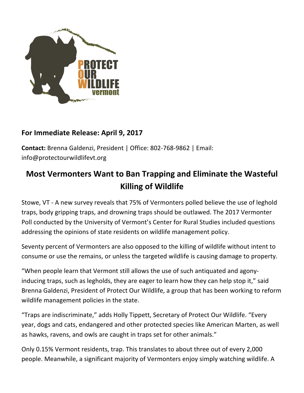

## **For Immediate Release: April 9, 2017**

**Contact:** Brenna Galdenzi, President | Office: 802-768-9862 | Email: info@protectourwildlifevt.org

## **Most Vermonters Want to Ban Trapping and Eliminate the Wasteful Killing of Wildlife**

Stowe, VT - A new survey reveals that 75% of Vermonters polled believe the use of leghold traps, body gripping traps, and drowning traps should be outlawed. The 2017 Vermonter Poll conducted by the University of Vermont's Center for Rural Studies included questions addressing the opinions of state residents on wildlife management policy.

Seventy percent of Vermonters are also opposed to the killing of wildlife without intent to consume or use the remains, or unless the targeted wildlife is causing damage to property.

"When people learn that Vermont still allows the use of such antiquated and agonyinducing traps, such as legholds, they are eager to learn how they can help stop it," said Brenna Galdenzi, President of Protect Our Wildlife, a group that has been working to reform wildlife management policies in the state.

"Traps are indiscriminate," adds Holly Tippett, Secretary of Protect Our Wildlife. "Every year, dogs and cats, endangered and other protected species like American Marten, as well as hawks, ravens, and owls are caught in traps set for other animals."

Only 0.15% Vermont residents, trap. This translates to about three out of every 2,000 people. Meanwhile, a significant majority of Vermonters enjoy simply watching wildlife. A